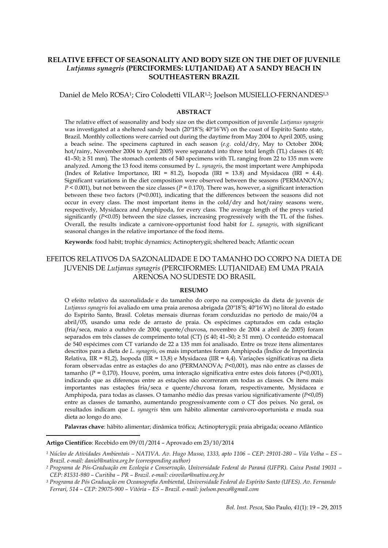# **RELATIVE EFFECT OF SEASONALITY AND BODY SIZE ON THE DIET OF JUVENILE** *Lutjanus synagris* **(PERCIFORMES: LUTJANIDAE) AT A SANDY BEACH IN SOUTHEASTERN BRAZIL**

Daniel de Melo ROSA<sup>1</sup>; Ciro Colodetti VILAR<sup>1,2</sup>; Joelson MUSIELLO-FERNANDES<sup>1,3</sup>

#### **ABSTRACT**

The relative effect of seasonality and body size on the diet composition of juvenile *Lutjanus synagris* was investigated at a sheltered sandy beach (20º18'S; 40º16'W) on the coast of Espírito Santo state, Brazil. Monthly collections were carried out during the daytime from May 2004 to April 2005, using a beach seine. The specimens captured in each season (*e.g.* cold/dry, May to October 2004; hot/rainy, November 2004 to April 2005) were separated into three total length (TL) classes ( $\leq 40$ ;  $41-50$ ;  $\geq 51$  mm). The stomach contents of 540 specimens with TL ranging from 22 to 135 mm were analyzed. Among the 13 food items consumed by *L. synagris*, the most important were Amphipoda (Index of Relative Importance, IRI = 81.2), Isopoda (IRI = 13.8) and Mysidacea (IRI = 4.4). Significant variations in the diet composition were observed between the seasons (PERMANOVA;  $P < 0.001$ ), but not between the size classes ( $P = 0.170$ ). There was, however, a significant interaction between these two factors  $(P<0.001)$ , indicating that the differences between the seasons did not occur in every class. The most important items in the cold/dry and hot/rainy seasons were, respectively, Mysidacea and Amphipoda, for every class. The average length of the preys varied significantly (*P*<0.05) between the size classes, increasing progressively with the TL of the fishes. Overall, the results indicate a carnivore-opportunist food habit for *L. synagris*, with significant seasonal changes in the relative importance of the food items.

**Keywords**: food habit; trophic dynamics; Actinopterygii; sheltered beach; Atlantic ocean

# EFEITOS RELATIVOS DA SAZONALIDADE E DO TAMANHO DO CORPO NA DIETA DE JUVENIS DE *Lutjanus synagris* (PERCIFORMES: LUTJANIDAE) EM UMA PRAIA ARENOSA NO SUDESTE DO BRASIL

# **RESUMO**

O efeito relativo da sazonalidade e do tamanho do corpo na composição da dieta de juvenis de *Lutjanus synagris* foi avaliado em uma praia arenosa abrigada (20º18'S; 40º16'W) no litoral do estado do Espírito Santo, Brasil. Coletas mensais diurnas foram conduzidas no período de maio/04 a abril/05, usando uma rede de arrasto de praia. Os espécimes capturados em cada estação (fria/seca, maio a outubro de 2004; quente/chuvosa, novembro de 2004 a abril de 2005) foram separados em três classes de comprimento total (CT) (≤ 40; 41–50; ≥ 51 mm). O conteúdo estomacal de 540 espécimes com CT variando de 22 a 135 mm foi analisado. Entre os treze itens alimentares descritos para a dieta de *L. synagris*, os mais importantes foram Amphipoda (Índice de Importância Relativa, IIR = 81,2), Isopoda (IIR = 13,8) e Mysidacea (IIR = 4,4). Variações significativas na dieta foram observadas entre as estações do ano (PERMANOVA; *P*<0,001), mas não entre as classes de tamanho (*P* = 0,170). Houve, porém, uma interação significativa entre estes dois fatores (*P*<0,001), indicando que as diferenças entre as estações não ocorreram em todas as classes. Os itens mais importantes nas estações fria/seca e quente/chuvosa foram, respectivamente, Mysidacea e Amphipoda, para todas as classes. O tamanho médio das presas variou significativamente (*P*<0,05) entre as classes de tamanho, aumentando progressivamente com o CT dos peixes. No geral, os resultados indicam que *L. synagris* têm um hábito alimentar carnívoro-oportunista e muda sua dieta ao longo do ano.

**Palavras chave**: hábito alimentar; dinâmica trófica; Actinopterygii; praia abrigada; oceano Atlântico

**Artigo Científico**: Recebido em 09/01/2014 – Aprovado em 23/10/2014

 $\overline{\phantom{a}}$ 

*<sup>1</sup> Núcleo de Atividades Ambientais – NATIVA. Av. Hugo Musso, 1333, apto 1106 – CEP: 29101-280 – Vila Velha – ES – Brazil. e-mail: daniel@nativa.org.br (corresponding author)*

*<sup>2</sup> Programa de Pós-Graduação em Ecologia e Conservação, Universidade Federal do Paraná (UFPR). Caixa Postal 19031 – CEP: 81531-980 – Curitiba – PR – Brazil. e-mail: cirovilar@nativa.org.br*

*<sup>3</sup> Programa de Pós Graduação em Oceanografia Ambiental, Universidade Federal do Espírito Santo (UFES). Av. Fernando Ferrari, 514 – CEP: 29075-900 – Vitória – ES – Brazil. [e-mail: joelson.pesca@gmail.com](mailto:e-mail:%20joelson.pesca@gmail.com)*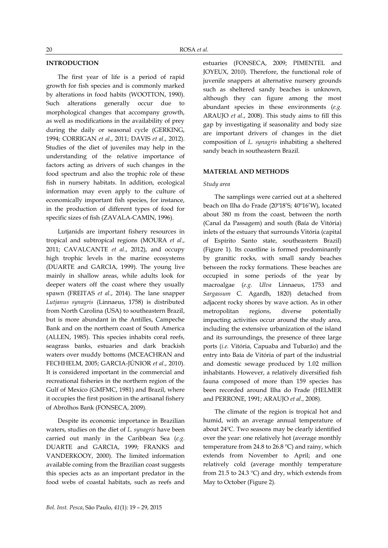# **INTRODUCTION**

The first year of life is a period of rapid growth for fish species and is commonly marked by alterations in food habits (WOOTTON, 1990). Such alterations generally occur due to morphological changes that accompany growth, as well as modifications in the availability of prey during the daily or seasonal cycle (GERKING, 1994; CORRIGAN *et al*., 2011; DAVIS *et al*., 2012). Studies of the diet of juveniles may help in the understanding of the relative importance of factors acting as drivers of such changes in the food spectrum and also the trophic role of these fish in nursery habitats. In addition, ecological information may even apply to the culture of economically important fish species, for instance, in the production of different types of food for specific sizes of fish (ZAVALA-CAMIN, 1996).

Lutjanids are important fishery resources in tropical and subtropical regions (MOURA *et al*., 2011; CAVALCANTE *et al*., 2012), and occupy high trophic levels in the marine ecosystems (DUARTE and GARCIA, 1999). The young live mainly in shallow areas, while adults look for deeper waters off the coast where they usually spawn (FREITAS *et al*., 2014). The lane snapper *Lutjanus synagris* (Linnaeus, 1758) is distributed from North Carolina (USA) to southeastern Brazil, but is more abundant in the Antilles, Campeche Bank and on the northern coast of South America (ALLEN, 1985). This species inhabits coral reefs, seagrass banks, estuaries and dark brackish waters over muddy bottoms (MCEACHRAN and FECHHELM, 2005; GARCIA-JÚNIOR *et al*., 2010). It is considered important in the commercial and recreational fisheries in the northern region of the Gulf of Mexico (GMFMC, 1981) and Brazil, where it occupies the first position in the artisanal fishery of Abrolhos Bank (FONSECA, 2009).

Despite its economic importance in Brazilian waters, studies on the diet of *L. synagris* have been carried out manly in the Caribbean Sea (*e.g.* DUARTE and GARCIA, 1999; FRANKS and VANDERKOOY, 2000). The limited information available coming from the Brazilian coast suggests this species acts as an important predator in the food webs of coastal habitats, such as reefs and

estuaries (FONSECA, 2009; PIMENTEL and JOYEUX, 2010). Therefore, the functional role of juvenile snappers at alternative nursery grounds such as sheltered sandy beaches is unknown, although they can figure among the most abundant species in these environments (*e.g.* ARAUJO *et al*., 2008). This study aims to fill this gap by investigating if seasonality and body size are important drivers of changes in the diet composition of *L. synagris* inhabiting a sheltered sandy beach in southeastern Brazil.

#### **MATERIAL AND METHODS**

#### *Study area*

The samplings were carried out at a sheltered beach on Ilha do Frade (20º18'S; 40º16'W), located about 380 m from the coast, between the north (Canal da Passagem) and south (Baía de Vitória) inlets of the estuary that surrounds Vitória (capital of Espírito Santo state, southeastern Brazil) (Figure 1). Its coastline is formed predominantly by granitic rocks, with small sandy beaches between the rocky formations. These beaches are occupied in some periods of the year by macroalgae (*e.g. Ulva* Linnaeus, 1753 and *Sargassum* C. Agardh, 1820) detached from adjacent rocky shores by wave action. As in other metropolitan regions, diverse potentially impacting activities occur around the study area, including the extensive urbanization of the island and its surroundings, the presence of three large ports (*i.e.* Vitória, Capuaba and Tubarão) and the entry into Baía de Vitória of part of the industrial and domestic sewage produced by 1.02 million inhabitants. However, a relatively diversified fish fauna composed of more than 159 species has been recorded around Ilha do Frade (HELMER and PERRONE, 1991; ARAUJO *et al*., 2008).

The climate of the region is tropical hot and humid, with an average annual temperature of about 24ºC. Two seasons may be clearly identified over the year: one relatively hot (average monthly temperature from 24.8 to 26.8 ºC) and rainy, which extends from November to April; and one relatively cold (average monthly temperature from 21.5 to 24.3 ºC) and dry, which extends from May to October (Figure 2).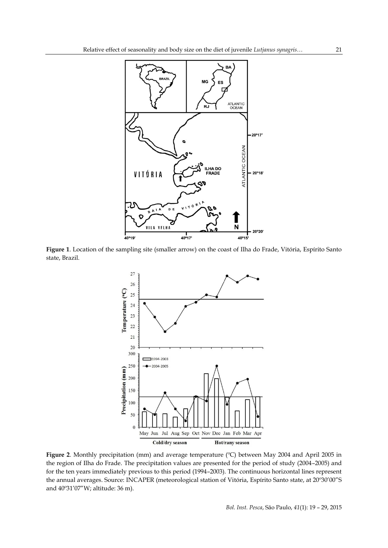

**Figure 1**. Location of the sampling site (smaller arrow) on the coast of Ilha do Frade, Vitória, Espírito Santo state, Brazil.



**Figure 2**. Monthly precipitation (mm) and average temperature (ºC) between May 2004 and April 2005 in the region of Ilha do Frade. The precipitation values are presented for the period of study (2004–2005) and for the ten years immediately previous to this period (1994–2003). The continuous horizontal lines represent the annual averages. Source: INCAPER (meteorological station of Vitória, Espírito Santo state, at 20º30'00"S and 40º31'07"W; altitude: 36 m).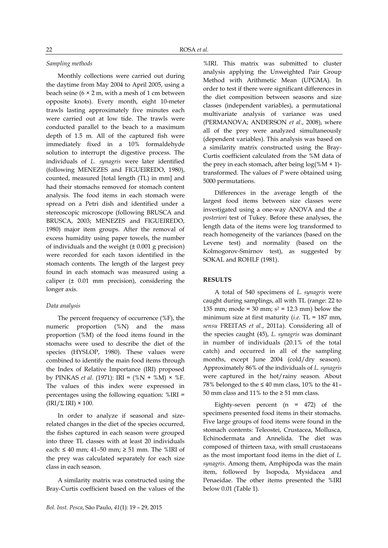### *Sampling methods*

Monthly collections were carried out during the daytime from May 2004 to April 2005, using a beach seine ( $6 \times 2$  m, with a mesh of 1 cm between opposite knots). Every month, eight 10-meter trawls lasting approximately five minutes each were carried out at low tide. The trawls were conducted parallel to the beach to a maximum depth of 1.5 m. All of the captured fish were immediately fixed in a 10% formaldehyde solution to interrupt the digestive process. The individuals of *L. synagris* were later identified (following MENEZES and FIGUEIREDO, 1980), counted, measured [total length (TL) in mm] and had their stomachs removed for stomach content analysis. The food items in each stomach were spread on a Petri dish and identified under a stereoscopic microscope (following BRUSCA and BRUSCA, 2003; MENEZES and FIGUEIREDO, 1980) major item groups. After the removal of excess humidity using paper towels, the number of individuals and the weight  $(\pm 0.001 \text{ g}$  precision) were recorded for each taxon identified in the stomach contents. The length of the largest prey found in each stomach was measured using a caliper (± 0.01 mm precision), considering the longer axis.

#### *Data analysis*

The percent frequency of occurrence (%F), the numeric proportion (%N) and the mass proportion (%M) of the food items found in the stomachs were used to describe the diet of the species (HYSLOP, 1980). These values were combined to identify the main food items through the Index of Relative Importance (IRI) proposed by PINKAS *et al*. (1971): IRI = (%N + %M) × %F. The values of this index were expressed in percentages using the following equation: %IRI =  $\left(\frac{IRI}{\Sigma} \right) \times 100$ .

In order to analyze if seasonal and sizerelated changes in the diet of the species occurred, the fishes captured in each season were grouped into three TL classes with at least 20 individuals each: ≤ 40 mm; 41–50 mm; ≥ 51 mm. The %IRI of the prey was calculated separately for each size class in each season.

A similarity matrix was constructed using the Bray-Curtis coefficient based on the values of the %IRI. This matrix was submitted to cluster analysis applying the Unweighted Pair Group Method with Arithmetic Mean (UPGMA). In order to test if there were significant differences in the diet composition between seasons and size classes (independent variables), a permutational multivariate analysis of variance was used (PERMANOVA; ANDERSON *et al*., 2008), where all of the prey were analyzed simultaneously (dependent variables). This analysis was based on a similarity matrix constructed using the Bray-Curtis coefficient calculated from the %M data of the prey in each stomach, after being  $log(\%M + 1)$ transformed. The values of *P* were obtained using 5000 permutations.

Differences in the average length of the largest food items between size classes were investigated using a one-way ANOVA and the *a posteriori* test of Tukey. Before these analyses, the length data of the items were log transformed to reach homogeneity of the variances (based on the Levene test) and normality (based on the Kolmogorov-Smirnov test), as suggested by SOKAL and ROHLF (1981).

# **RESULTS**

A total of 540 specimens of *L. synagris* were caught during samplings, all with TL (range: 22 to 135 mm; mode = 30 mm;  $s^2$  = 12.3 mm) below the minimum size at first maturity (*i.e.* TL = 187 mm, *sensu* FREITAS *et al*., 2011a). Considering all of the species caught (45), *L. synagris* was dominant in number of individuals (20.1% of the total catch) and occurred in all of the sampling months, except June 2004 (cold/dry season). Approximately 86% of the individuals of *L. synagris* were captured in the hot/rainy season. About 78% belonged to the  $\leq 40$  mm class, 10% to the 41-50 mm class and 11% to the  $\geq$  51 mm class.

Eighty-seven percent  $(n = 472)$  of the specimens presented food items in their stomachs. Five large groups of food items were found in the stomach contents: Teleostei, Crustacea, Mollusca, Echinodermata and Annelida. The diet was composed of thirteen taxa, with small crustaceans as the most important food items in the diet of *L. synagris*. Among them, Amphipoda was the main item, followed by Isopoda, Mysidacea and Penaeidae. The other items presented the %IRI below 0.01 (Table 1).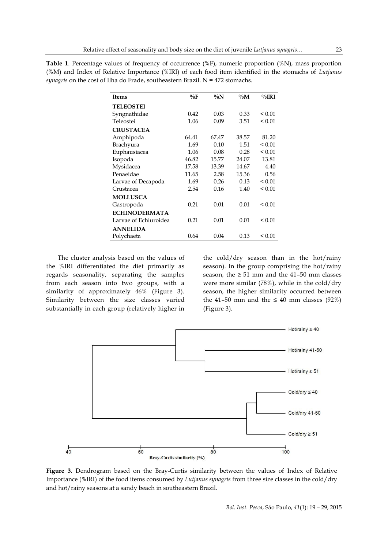| <b>Items</b>          | $\%$ F | $\%N$ | $\%$ M | $\%$ IRI    |
|-----------------------|--------|-------|--------|-------------|
| <b>TELEOSTEI</b>      |        |       |        |             |
| Syngnathidae          | 0.42   | 0.03  | 0.33   | ${}_{0.01}$ |
| Teleostei             | 1.06   | 0.09  | 3.51   | ${}_{0.01}$ |
| <b>CRUSTACEA</b>      |        |       |        |             |
| Amphipoda             | 64.41  | 67.47 | 38.57  | 81.20       |
| Brachyura             | 1.69   | 0.10  | 1.51   | ${}_{0.01}$ |
| Euphausiacea          | 1.06   | 0.08  | 0.28   | ${}_{0.01}$ |
| Isopoda               | 46.82  | 15.77 | 24.07  | 13.81       |
| Mysidacea             | 17.58  | 13.39 | 14.67  | 4.40        |
| Penaeidae             | 11.65  | 2.58  | 15.36  | 0.56        |
| Larvae of Decapoda    | 1.69   | 0.26  | 0.13   | ${}_{0.01}$ |
| Crustacea             | 2.54   | 0.16  | 1.40   | ${}_{0.01}$ |
| <b>MOLLUSCA</b>       |        |       |        |             |
| Gastropoda            | 0.21   | 0.01  | 0.01   | ${}_{0.01}$ |
| <b>ECHINODERMATA</b>  |        |       |        |             |
| Larvae of Echiuroidea | 0.21   | 0.01  | 0.01   | ${}_{0.01}$ |
| <b>ANNELIDA</b>       |        |       |        |             |
| Polychaeta            | 0.64   | 0.04  | 0.13   | ${}_{0.01}$ |

**Table 1**. Percentage values of frequency of occurrence (%F), numeric proportion (%N), mass proportion (%M) and Index of Relative Importance (%IRI) of each food item identified in the stomachs of *Lutjanus synagris* on the cost of Ilha do Frade, southeastern Brazil. N = 472 stomachs.

The cluster analysis based on the values of the %IRI differentiated the diet primarily as regards seasonality, separating the samples from each season into two groups, with a similarity of approximately 46% (Figure 3). Similarity between the size classes varied substantially in each group (relatively higher in

the cold/dry season than in the hot/rainy season). In the group comprising the hot/rainy season, the  $\geq 51$  mm and the 41-50 mm classes were more similar (78%), while in the cold/dry season, the higher similarity occurred between the 41–50 mm and the  $\leq 40$  mm classes (92%) (Figure 3).



**Figure 3**. Dendrogram based on the Bray-Curtis similarity between the values of Index of Relative Importance (%IRI) of the food items consumed by *Lutjanus synagris* from three size classes in the cold/dry and hot/rainy seasons at a sandy beach in southeastern Brazil.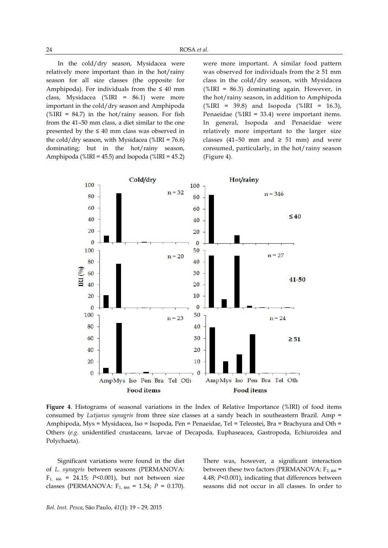In the cold/dry season, Mysidacea were relatively more important than in the hot/rainy season for all size classes (the opposite for Amphipoda). For individuals from the  $\leq 40$  mm class, Mysidacea (%IRI = 86.1) were more important in the cold/dry season and Amphipoda (%IRI =  $84.7$ ) in the hot/rainy season. For fish from the 41–50 mm class, a diet similar to the one presented by the  $\leq 40$  mm class was observed in the cold/dry season, with Mysidacea (%IRI =  $76.6$ ) dominating; but in the hot/rainy season, Amphipoda (%IRI = 45.5) and Isopoda (%IRI = 45.2)

were more important. A similar food pattern was observed for individuals from the ≥ 51 mm class in the cold/dry season, with Mysidacea (%IRI =  $86.3$ ) dominating again. However, in the hot/rainy season, in addition to Amphipoda  $(\text{WIRI} = 39.8)$  and Isopoda (%IRI = 16.3), Penaeidae (%IRI = 33.4) were important items. In general, Isopoda and Penaeidae were relatively more important to the larger size classes (41–50 mm and  $\geq$  51 mm) and were consumed, particularly, in the hot/rainy season (Figure 4).



**Figure 4**. Histograms of seasonal variations in the Index of Relative Importance (%IRI) of food items consumed by *Lutjanus synagris* from three size classes at a sandy beach in southeastern Brazil. Amp = Amphipoda, Mys = Mysidacea, Iso = Isopoda, Pen = Penaeidae, Tel = Teleostei, Bra = Brachyura and Oth = Others (*e.g.* unidentified crustaceans, larvae of Decapoda, Euphaseacea, Gastropoda, Echiuroidea and Polychaeta).

Significant variations were found in the diet of *L. synagris* between seasons (PERMANOVA: F1, <sup>466</sup> = 24.15; *P*<0.001), but not between size classes (PERMANOVA: F1, 466 = 1.54; *P* = 0.170). There was, however, a significant interaction between these two factors (PERMANOVA:  $F_{2,466}$  = 4.48; *P*<0.001), indicating that differences between seasons did not occur in all classes. In order to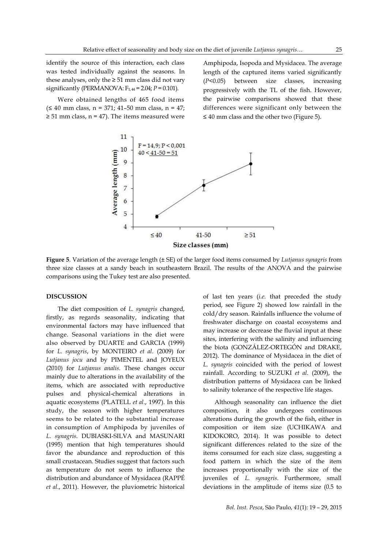identify the source of this interaction, each class was tested individually against the seasons. In these analyses, only the  $\geq 51$  mm class did not vary significantly (PERMANOVA:  $F_{1,44} = 2.04$ ;  $P = 0.101$ ).

Were obtained lengths of 465 food items (≤ 40 mm class, n = 371; 41–50 mm class, n = 47;  $\geq$  51 mm class, n = 47). The items measured were Amphipoda, Isopoda and Mysidacea. The average length of the captured items varied significantly (*P*<0.05) between size classes, increasing progressively with the TL of the fish. However, the pairwise comparisons showed that these differences were significant only between the  $\leq$  40 mm class and the other two (Figure 5).



**Figure 5**. Variation of the average length (± SE) of the larger food items consumed by *Lutjanus synagris* from three size classes at a sandy beach in southeastern Brazil. The results of the ANOVA and the pairwise comparisons using the Tukey test are also presented.

### **DISCUSSION**

The diet composition of *L. synagris* changed, firstly, as regards seasonality, indicating that environmental factors may have influenced that change. Seasonal variations in the diet were also observed by DUARTE and GARCIA (1999) for *L. synagris*, by MONTEIRO *et al*. (2009) for *Lutjanus jocu* and by PIMENTEL and JOYEUX (2010) for *Lutjanus analis*. These changes occur mainly due to alterations in the availability of the items, which are associated with reproductive pulses and physical-chemical alterations in aquatic ecosystems (PLATELL *et al*., 1997). In this study, the season with higher temperatures seems to be related to the substantial increase in consumption of Amphipoda by juveniles of *L. synagris*. DUBIASKI-SILVA and MASUNARI (1995) mention that high temperatures should favor the abundance and reproduction of this small crustacean. Studies suggest that factors such as temperature do not seem to influence the distribution and abundance of Mysidacea (RAPPÉ *et al*., 2011). However, the pluviometric historical

of last ten years (*i.e.* that preceded the study period, see Figure 2) showed low rainfall in the cold/dry season. Rainfalls influence the volume of freshwater discharge on coastal ecosystems and may increase or decrease the fluvial input at these sites, interfering with the salinity and influencing the biota (GONZÁLEZ-ORTEGÓN and DRAKE, 2012). The dominance of Mysidacea in the diet of *L. synagris* coincided with the period of lowest rainfall. According to SUZUKI *et al*. (2009), the distribution patterns of Mysidacea can be linked to salinity tolerance of the respective life stages.

Although seasonality can influence the diet composition, it also undergoes continuous alterations during the growth of the fish, either in composition or item size (UCHIKAWA and KIDOKORO, 2014). It was possible to detect significant differences related to the size of the items consumed for each size class, suggesting a food pattern in which the size of the item increases proportionally with the size of the juveniles of *L. synagris*. Furthermore, small deviations in the amplitude of items size (0.5 to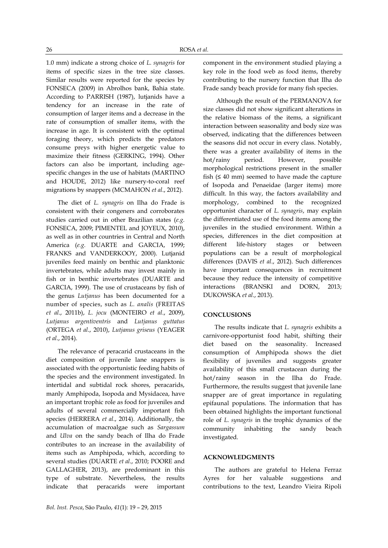1.0 mm) indicate a strong choice of *L. synagris* for items of specific sizes in the tree size classes. Similar results were reported for the species by FONSECA (2009) in Abrolhos bank, Bahia state. According to PARRISH (1987), lutjanids have a tendency for an increase in the rate of consumption of larger items and a decrease in the rate of consumption of smaller items, with the increase in age. It is consistent with the optimal foraging theory, which predicts the predators consume preys with higher energetic value to maximize their fitness (GERKING, 1994). Other factors can also be important, including agespecific changes in the use of habitats (MARTINO and HOUDE, 2012) like nursery-to-coral reef migrations by snappers (MCMAHON *et al*., 2012).

The diet of *L. synagris* on Ilha do Frade is consistent with their congeners and corroborates studies carried out in other Brazilian states (*e.g.* FONSECA, 2009; PIMENTEL and JOYEUX, 2010), as well as in other countries in Central and North America (*e.g.* DUARTE and GARCIA, 1999; FRANKS and VANDERKOOY, 2000). Lutjanid juveniles feed mainly on benthic and planktonic invertebrates, while adults may invest mainly in fish or in benthic invertebrates (DUARTE and GARCIA, 1999). The use of crustaceans by fish of the genus *Lutjanus* has been documented for a number of species, such as *L. analis* (FREITAS *et al*., 2011b), *L. jocu* (MONTEIRO *et al*., 2009), *Lutjanus argentiventris* and *Lutjanus guttatus* (ORTEGA *et al*., 2010), *Lutjanus griseus* (YEAGER *et al*., 2014).

The relevance of peracarid crustaceans in the diet composition of juvenile lane snappers is associated with the opportunistic feeding habits of the species and the environment investigated. In intertidal and subtidal rock shores, peracarids, manly Amphipoda, Isopoda and Mysidacea, have an important trophic role as food for juveniles and adults of several commercially important fish species (HERRERA *et al*., 2014). Additionally, the accumulation of macroalgae such as *Sargassum* and *Ulva* on the sandy beach of Ilha do Frade contributes to an increase in the availability of items such as Amphipoda, which, according to several studies (DUARTE *et al*., 2010; POORE and GALLAGHER, 2013), are predominant in this type of substrate. Nevertheless, the results indicate that peracarids were important

component in the environment studied playing a key role in the food web as food items, thereby contributing to the nursery function that Ilha do Frade sandy beach provide for many fish species.

Although the result of the PERMANOVA for size classes did not show significant alterations in the relative biomass of the items, a significant interaction between seasonality and body size was observed, indicating that the differences between the seasons did not occur in every class. Notably, there was a greater availability of items in the hot/rainy period. However, possible morphological restrictions present in the smaller fish  $(≤ 40$  mm) seemed to have made the capture of Isopoda and Penaeidae (larger items) more difficult. In this way, the factors availability and morphology, combined to the recognized opportunist character of *L. synagris*, may explain the differentiated use of the food items among the juveniles in the studied environment. Within a species, differences in the diet composition at different life-history stages or between populations can be a result of morphological differences (DAVIS *et al*., 2012). Such differences have important consequences in recruitment because they reduce the intensity of competitive interactions (BRANSKI and DORN, 2013; DUKOWSKA *et al*., 2013).

# **CONCLUSIONS**

The results indicate that *L. synagris* exhibits a carnivore-opportunist food habit, shifting their diet based on the seasonality. Increased consumption of Amphipoda shows the diet flexibility of juveniles and suggests greater availability of this small crustacean during the hot/rainy season in the Ilha do Frade. Furthermore, the results suggest that juvenile lane snapper are of great importance in regulating epifaunal populations. The information that has been obtained highlights the important functional role of *L. synagris* in the trophic dynamics of the community inhabiting the sandy beach investigated.

#### **ACKNOWLEDGMENTS**

The authors are grateful to Helena Ferraz Ayres for her valuable suggestions and contributions to the text, Leandro Vieira Ripoli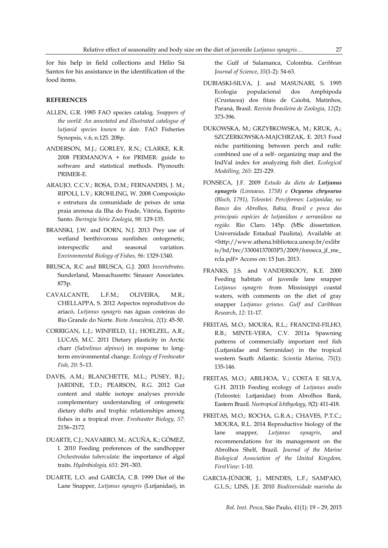for his help in field collections and Hélio Sá Santos for his assistance in the identification of the food items.

### **REFERENCES**

- ALLEN, G.R. 1985 FAO species catalog. *Snappers of the world: An annotated and illustrated catalogue of lutjanid species known to date*. FAO Fisheries Synopsis, v.6, n.125. 208p.
- ANDERSON, M.J.; GORLEY, R.N.; CLARKE, K.R. 2008 PERMANOVA + for PRIMER: guide to software and statistical methods. Plymouth: PRIMER-E.
- ARAUJO, C.C.V.; ROSA, D.M.; FERNANDES, J. M.; RIPOLI, L.V.; KROHLING, W. 2008 Composição e estrutura da comunidade de peixes de uma praia arenosa da Ilha do Frade, Vitória, Espírito Santo. *Iheringia Série Zoologia*, *98*: 129-135.
- BRANSKI, J.W. and DORN, N.J. 2013 Prey use of wetland benthivorous sunfishes: ontogenetic, interspecific and seasonal variation. *Environmental Biology of Fishes, 96*: 1329-1340.
- BRUSCA, R.C and BRUSCA, G.J. 2003 *Invertebrates*. Sunderland, Massachusetts: Sinauer Associates. 875p.
- CAVALCANTE, L.F.M.; OLIVEIRA, M.R.; CHELLAPPA, S. 2012 Aspectos reprodutivos do ariacó, *Lutjanus synagris* nas águas costeiras do Rio Grande do Norte. *Biota Amazônia, 2*(1): 45-50.
- CORRIGAN, L.J.; WINFIELD, I.J.; HOELZEL, A.R.; LUCAS, M.C. 2011 Dietary plasticity in Arctic charr (*Salvelinus alpinus*) in response to longterm environmental change. *Ecology of Freshwater Fish, 20*: 5–13.
- DAVIS, A.M.; BLANCHETTE, M.L.; PUSEY, B.J.; JARDINE, T.D.; PEARSON, R.G. 2012 Gut content and stable isotope analyses provide complementary understanding of ontogenetic dietary shifts and trophic relationships among fishes in a tropical river. *Freshwater Biology, 57*: 2156–2172.
- DUARTE, C.J.; NAVARRO, M.; ACUÑA, K.; GÓMEZ, I. 2010 Feeding preferences of the sandhopper *Orchestroidea tuberculata*: the importance of algal traits. *Hydrobiologia, 651*: 291–303.
- DUARTE, L.O. and GARCÍA, C.B. 1999 Diet of the Lane Snapper, *Lutjanus synagris* (Lutjanidae), in

the Gulf of Salamanca, Colombia. *Caribbean Journal of Science*, *35*(1-2): 54-63.

- DUBIASKI-SILVA, J. and MASUNARI, S. 1995 Ecologia populacional dos Amphipoda (Crustacea) dos fitais de Caiobá, Matinhos, Paraná, Brasil. *Revista Brasileira de Zoologia*, *12*(2): 373-396.
- DUKOWSKA, M.; GRZYBKOWSKA, M.; KRUK, A.; SZCZERKOWSKA-MAJCHRZAK, E. 2013 Food niche partitioning between perch and ruffe: combined use of a self- organizing map and the IndVal index for analyzing fish diet. *Ecological Modelling, 265*: 221-229.
- FONSECA, J.F. 2009 *Estudo da dieta do Lutjanus synagris (Linnaeus, 1758) e Ocyurus chrysurus (Bloch, 1791), Teleostei: Perciformes: Lutjanidae, no Banco dos Abrolhos, Bahia, Brasil e pesca das principais espécies de lutjanídeos e serranídeos na região*. Rio Claro. 145p. (MSc dissertation. Universidade Estadual Paulista). Available at: <http://www.athena.biblioteca.unesp.br/exlibr is/bd/brc/33004137003P3/2009/fonseca\_jf\_me\_ rcla.pdf> Access on: 15 Jun. 2013.
- FRANKS, J.S. and VANDERKOOY, K.E. 2000 Feeding habitats of juvenile lane snapper *Lutjanus synagris* from Mississippi coastal waters, with comments on the diet of gray snapper *Lutjanus griseus*. *Gulf and Caribbean Research*, *12*: 11-17.
- FREITAS, M.O.; MOURA, R.L.; FRANCINI-FILHO, R.B.; MINTE-VERA, C.V. 2011a Spawning patterns of commercially important reef fish (Lutjanidae and Serranidae) in the tropical western South Atlantic. *Scientia Marina*, *75*(1): 135-146.
- FREITAS, M.O.; ABILHOA, V.; COSTA E SILVA, G.H. 2011b Feeding ecology of *Lutjanus analis* (Teleostei: Lutjanidae) from Abrolhos Bank, Eastern Brazil. *Neotropical Ichthyology*, *9*(2): 411-418.
- FREITAS, M.O.; ROCHA, G.R.A.; CHAVES, P.T.C.; MOURA, R.L. 2014 Reproductive biology of the lane snapper, *Lutjanus synagris*, and recommendations for its management on the Abrolhos Shelf, Brazil. *Journal of the Marine Biological Association of the United Kingdom, FirstView*: 1-10.
- GARCIA-JÚNIOR, J.; MENDES, L.F.; SAMPAIO, G.L.S.; LINS, J.E. 2010 *Biodiversidade marinha da*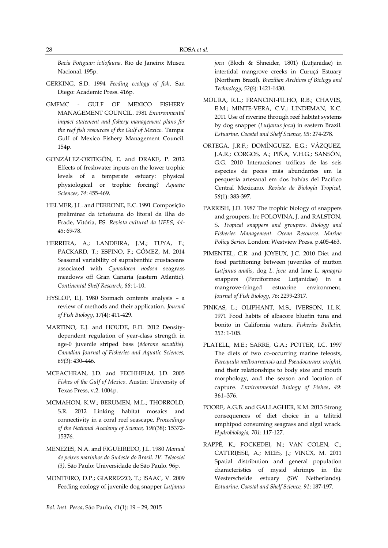*Bacia Potiguar: ictiofauna.* Rio de Janeiro: Museu Nacional. 195p.

- GERKING, S.D. 1994 *Feeding ecology of fish*. San Diego: Academic Press. 416p.
- GMFMC GULF OF MEXICO FISHERY MANAGEMENT COUNCIL. 1981 *Environmental impact statement and fishery management plans for the reef fish resources of the Gulf of Mexico.* Tampa: Gulf of Mexico Fishery Management Council. 154p.
- GONZÁLEZ-ORTEGÓN, E. and DRAKE, P. 2012 Effects of freshwater inputs on the lower trophic levels of a temperate estuary: physical physiological or trophic forcing? *Aquatic Sciences, 74*: 455-469.
- HELMER, J.L. and PERRONE, E.C. 1991 Composição preliminar da ictiofauna do litoral da Ilha do Frade, Vitória, ES. *Revista cultural da UFES*, *44- 45*: 69-78.
- HERRERA, A.; LANDEIRA, J.M.; TUYA, F.; PACKARD, T.; ESPINO, F.; GÓMEZ, M. 2014 Seasonal variability of suprabenthic crustaceans associated with *Cymodocea nodosa* seagrass meadows off Gran Canaria (eastern Atlantic). *Continental Shelf Research, 88*: 1-10.
- HYSLOP, E.J. 1980 Stomach contents analysis a review of methods and their application. *Journal of Fish Biology*, *17*(4): 411-429.
- MARTINO, E.J. and HOUDE, E.D. 2012 Densitydependent regulation of year-class strength in age-0 juvenile striped bass (*Morone saxatilis*). *Canadian Journal of Fisheries and Aquatic Sciences, 69*(3): 430–446.
- MCEACHRAN, J.D. and FECHHELM, J.D. 2005 *Fishes of the Gulf of Mexico*. Austin: University of Texas Press, v.2. 1004p.
- MCMAHON, K.W.; BERUMEN, M.L.; THORROLD, S.R. 2012 Linking habitat mosaics and connectivity in a coral reef seascape. *Proceedings of the National Academy of Science, 198*(38): 15372- 15376.
- MENEZES, N.A. and FIGUEIREDO, J.L. 1980 *Manual de peixes marinhos do Sudeste do Brasil. IV. Teleostei (3)*. São Paulo: Universidade de São Paulo. 96p.
- MONTEIRO, D.P.; GIARRIZZO, T.; ISAAC, V. 2009 Feeding ecology of juvenile dog snapper *Lutjanus*

*jocu* (Bloch & Shneider, 1801) (Lutjanidae) in intertidal mangrove creeks in Curuçá Estuary (Northern Brazil). *Brazilian Archives of Biology and Technology*, *52*(6): 1421-1430.

- MOURA, R.L.; FRANCINI-FILHO, R.B.; CHAVES, E.M.; MINTE-VERA, C.V.; LINDEMAN, K.C. 2011 Use of riverine through reef habitat systems by dog snapper (*Lutjanus jocu*) in eastern Brazil. *Estuarine, Coastal and Shelf Science, 95*: 274-278.
- ORTEGA, J.R.F.; DOMÍNGUEZ, E.G.; VÁZQUEZ, J.A.R.; CORGOS, A.; PIÑA, V.H.G.; SANSÓN, G.G. 2010 Interacciones tróficas de las seis especies de peces más abundantes em la pesquería artesanal em dos bahías del Pacífico Central Mexicano. *Revista de Biología Tropical, 58*(1): 383-397.
- PARRISH, J.D. 1987 The trophic biology of snappers and groupers. In: POLOVINA, J. and RALSTON, S. *Tropical snappers and groupers. Biology and Fisheries Management. Ocean Resource. Marine Policy Series*. London: Westview Press. p.405-463.
- PIMENTEL, C.R. and JOYEUX, J.C. 2010 Diet and food partitioning between juveniles of mutton *Lutjanus analis*, dog *L. jocu* and lane *L. synagris* snappers (Perciformes: Lutjanidae) in a mangrove-fringed estuarine environment. *Journal of Fish Biology*, *76*: 2299-2317.
- PINKAS, L.; OLIPHANT, M.S.; IVERSON, I.L.K. 1971 Food habits of albacore bluefin tuna and bonito in California waters. *Fisheries Bulletin*, *152*: 1-105.
- PLATELL, M.E.; SARRE, G.A.; POTTER, I.C. 1997 The diets of two co-occurring marine teleosts, *Parequula melbournensis* and *Pseudocaranx wrighti*, and their relationships to body size and mouth morphology, and the season and location of capture. *Environmental Biology of Fishes*, *49*: 361–376.
- POORE, A.G.B. and GALLAGHER, K.M. 2013 Strong consequences of diet choice in a talitrid amphipod consuming seagrass and algal wrack. *Hydrobiologia, 701*: 117-127.
- RAPPÉ, K.; FOCKEDEI, N.; VAN COLEN, C.; CATTRIJSSE, A.; MEES, J.; VINCX, M. 2011 Spatial distribution and general population characteristics of mysid shrimps in the Westerschelde estuary (SW Netherlands). *Estuarine, Coastal and Shelf Science, 91*: 187-197.